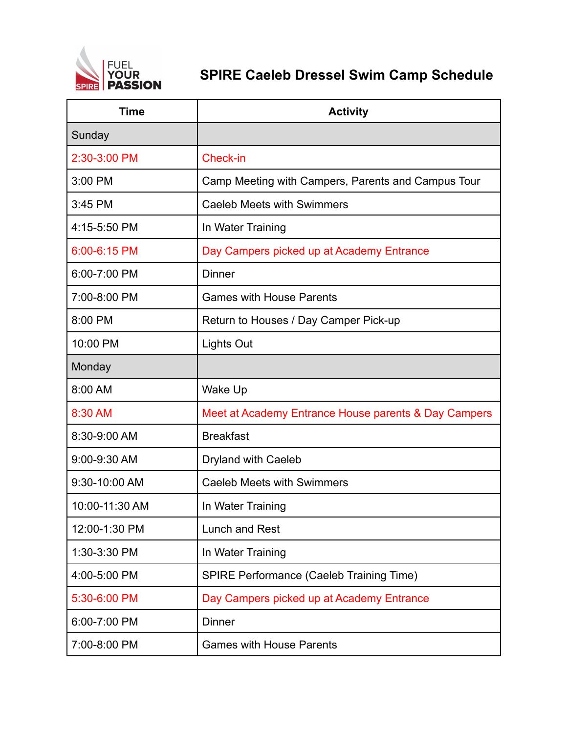

## **SPIRE Caeleb Dressel Swim Camp Schedule**

| <b>Time</b>    | <b>Activity</b>                                      |
|----------------|------------------------------------------------------|
| Sunday         |                                                      |
| 2:30-3:00 PM   | <b>Check-in</b>                                      |
| 3:00 PM        | Camp Meeting with Campers, Parents and Campus Tour   |
| 3:45 PM        | <b>Caeleb Meets with Swimmers</b>                    |
| 4:15-5:50 PM   | In Water Training                                    |
| 6:00-6:15 PM   | Day Campers picked up at Academy Entrance            |
| 6:00-7:00 PM   | <b>Dinner</b>                                        |
| 7:00-8:00 PM   | <b>Games with House Parents</b>                      |
| 8:00 PM        | Return to Houses / Day Camper Pick-up                |
| 10:00 PM       | Lights Out                                           |
| Monday         |                                                      |
| 8:00 AM        | Wake Up                                              |
| 8:30 AM        | Meet at Academy Entrance House parents & Day Campers |
| 8:30-9:00 AM   | <b>Breakfast</b>                                     |
| 9:00-9:30 AM   | Dryland with Caeleb                                  |
| 9:30-10:00 AM  | <b>Caeleb Meets with Swimmers</b>                    |
| 10:00-11:30 AM | In Water Training                                    |
| 12:00-1:30 PM  | <b>Lunch and Rest</b>                                |
| 1:30-3:30 PM   | In Water Training                                    |
| 4:00-5:00 PM   | SPIRE Performance (Caeleb Training Time)             |
| 5:30-6:00 PM   | Day Campers picked up at Academy Entrance            |
| 6:00-7:00 PM   | <b>Dinner</b>                                        |
| 7:00-8:00 PM   | <b>Games with House Parents</b>                      |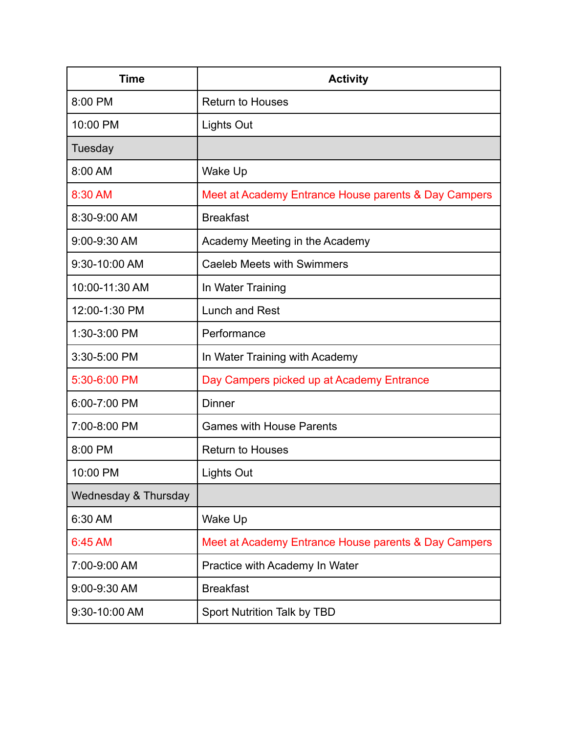| <b>Time</b>          | <b>Activity</b>                                      |
|----------------------|------------------------------------------------------|
| 8:00 PM              | <b>Return to Houses</b>                              |
| 10:00 PM             | <b>Lights Out</b>                                    |
| Tuesday              |                                                      |
| 8:00 AM              | Wake Up                                              |
| 8:30 AM              | Meet at Academy Entrance House parents & Day Campers |
| 8:30-9:00 AM         | <b>Breakfast</b>                                     |
| 9:00-9:30 AM         | Academy Meeting in the Academy                       |
| 9:30-10:00 AM        | <b>Caeleb Meets with Swimmers</b>                    |
| 10:00-11:30 AM       | In Water Training                                    |
| 12:00-1:30 PM        | Lunch and Rest                                       |
| 1:30-3:00 PM         | Performance                                          |
| 3:30-5:00 PM         | In Water Training with Academy                       |
| 5:30-6:00 PM         | Day Campers picked up at Academy Entrance            |
| 6:00-7:00 PM         | <b>Dinner</b>                                        |
| 7:00-8:00 PM         | <b>Games with House Parents</b>                      |
| 8:00 PM              | <b>Return to Houses</b>                              |
| 10:00 PM             | Lights Out                                           |
| Wednesday & Thursday |                                                      |
| 6:30 AM              | Wake Up                                              |
| 6:45 AM              | Meet at Academy Entrance House parents & Day Campers |
| 7:00-9:00 AM         | Practice with Academy In Water                       |
| 9:00-9:30 AM         | <b>Breakfast</b>                                     |
| 9:30-10:00 AM        | Sport Nutrition Talk by TBD                          |